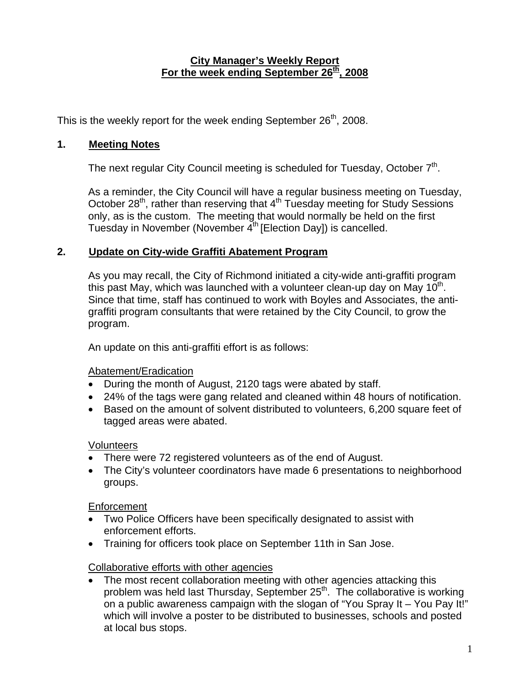#### **City Manager's Weekly Report** For the week ending September 26<sup>th</sup>, 2008

This is the weekly report for the week ending September  $26<sup>th</sup>$ , 2008.

# **1. Meeting Notes**

The next regular City Council meeting is scheduled for Tuesday, October  $7<sup>th</sup>$ .

As a reminder, the City Council will have a regular business meeting on Tuesday, October 28<sup>th</sup>, rather than reserving that 4<sup>th</sup> Tuesday meeting for Study Sessions only, as is the custom. The meeting that would normally be held on the first Tuesday in November (November  $4<sup>th</sup>$  [Election Day]) is cancelled.

# **2. Update on City-wide Graffiti Abatement Program**

As you may recall, the City of Richmond initiated a city-wide anti-graffiti program this past May, which was launched with a volunteer clean-up day on May  $10<sup>th</sup>$ . Since that time, staff has continued to work with Boyles and Associates, the antigraffiti program consultants that were retained by the City Council, to grow the program.

An update on this anti-graffiti effort is as follows:

### Abatement/Eradication

- During the month of August, 2120 tags were abated by staff.
- 24% of the tags were gang related and cleaned within 48 hours of notification.
- Based on the amount of solvent distributed to volunteers, 6,200 square feet of tagged areas were abated.

### **Volunteers**

- There were 72 registered volunteers as of the end of August.
- The City's volunteer coordinators have made 6 presentations to neighborhood groups.

### Enforcement

- Two Police Officers have been specifically designated to assist with enforcement efforts.
- Training for officers took place on September 11th in San Jose.

# Collaborative efforts with other agencies

• The most recent collaboration meeting with other agencies attacking this problem was held last Thursday, September  $25<sup>th</sup>$ . The collaborative is working on a public awareness campaign with the slogan of "You Spray It – You Pay It!" which will involve a poster to be distributed to businesses, schools and posted at local bus stops.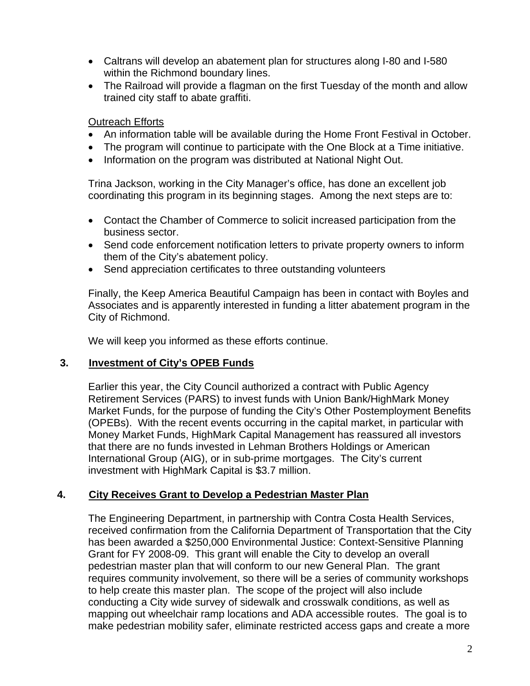- Caltrans will develop an abatement plan for structures along I-80 and I-580 within the Richmond boundary lines.
- The Railroad will provide a flagman on the first Tuesday of the month and allow trained city staff to abate graffiti.

#### Outreach Efforts

- An information table will be available during the Home Front Festival in October.
- The program will continue to participate with the One Block at a Time initiative.
- Information on the program was distributed at National Night Out.

Trina Jackson, working in the City Manager's office, has done an excellent job coordinating this program in its beginning stages. Among the next steps are to:

- Contact the Chamber of Commerce to solicit increased participation from the business sector.
- Send code enforcement notification letters to private property owners to inform them of the City's abatement policy.
- Send appreciation certificates to three outstanding volunteers

Finally, the Keep America Beautiful Campaign has been in contact with Boyles and Associates and is apparently interested in funding a litter abatement program in the City of Richmond.

We will keep you informed as these efforts continue.

#### **3. Investment of City's OPEB Funds**

Earlier this year, the City Council authorized a contract with Public Agency Retirement Services (PARS) to invest funds with Union Bank/HighMark Money Market Funds, for the purpose of funding the City's Other Postemployment Benefits (OPEBs). With the recent events occurring in the capital market, in particular with Money Market Funds, HighMark Capital Management has reassured all investors that there are no funds invested in Lehman Brothers Holdings or American International Group (AIG), or in sub-prime mortgages. The City's current investment with HighMark Capital is \$3.7 million.

### **4. City Receives Grant to Develop a Pedestrian Master Plan**

The Engineering Department, in partnership with Contra Costa Health Services, received confirmation from the California Department of Transportation that the City has been awarded a \$250,000 Environmental Justice: Context-Sensitive Planning Grant for FY 2008-09. This grant will enable the City to develop an overall pedestrian master plan that will conform to our new General Plan. The grant requires community involvement, so there will be a series of community workshops to help create this master plan. The scope of the project will also include conducting a City wide survey of sidewalk and crosswalk conditions, as well as mapping out wheelchair ramp locations and ADA accessible routes. The goal is to make pedestrian mobility safer, eliminate restricted access gaps and create a more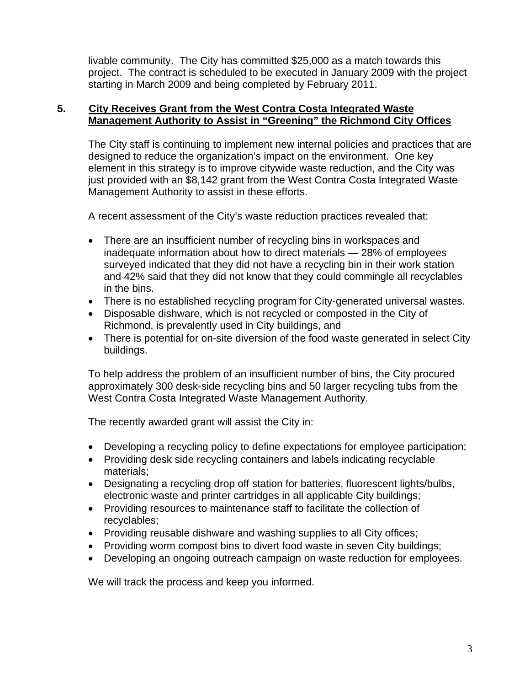livable community. The City has committed \$25,000 as a match towards this project. The contract is scheduled to be executed in January 2009 with the project starting in March 2009 and being completed by February 2011.

### **5. City Receives Grant from the West Contra Costa Integrated Waste Management Authority to Assist in "Greening" the Richmond City Offices**

The City staff is continuing to implement new internal policies and practices that are designed to reduce the organization's impact on the environment. One key element in this strategy is to improve citywide waste reduction, and the City was just provided with an \$8,142 grant from the West Contra Costa Integrated Waste Management Authority to assist in these efforts.

A recent assessment of the City's waste reduction practices revealed that:

- There are an insufficient number of recycling bins in workspaces and inadequate information about how to direct materials — 28% of employees surveyed indicated that they did not have a recycling bin in their work station and 42% said that they did not know that they could commingle all recyclables in the bins.
- There is no established recycling program for City-generated universal wastes.
- Disposable dishware, which is not recycled or composted in the City of Richmond, is prevalently used in City buildings, and
- There is potential for on-site diversion of the food waste generated in select City buildings.

To help address the problem of an insufficient number of bins, the City procured approximately 300 desk-side recycling bins and 50 larger recycling tubs from the West Contra Costa Integrated Waste Management Authority.

The recently awarded grant will assist the City in:

- Developing a recycling policy to define expectations for employee participation;
- Providing desk side recycling containers and labels indicating recyclable materials;
- Designating a recycling drop off station for batteries, fluorescent lights/bulbs, electronic waste and printer cartridges in all applicable City buildings;
- Providing resources to maintenance staff to facilitate the collection of recyclables;
- Providing reusable dishware and washing supplies to all City offices;
- Providing worm compost bins to divert food waste in seven City buildings;
- Developing an ongoing outreach campaign on waste reduction for employees.

We will track the process and keep you informed.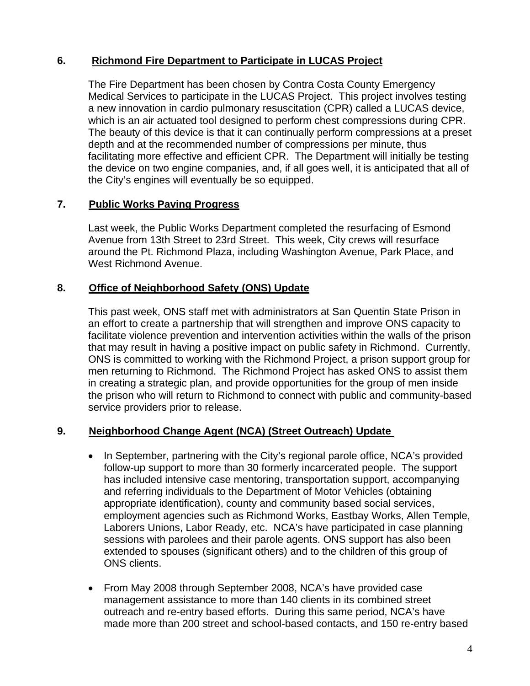# **6. Richmond Fire Department to Participate in LUCAS Project**

The Fire Department has been chosen by Contra Costa County Emergency Medical Services to participate in the LUCAS Project. This project involves testing a new innovation in cardio pulmonary resuscitation (CPR) called a LUCAS device, which is an air actuated tool designed to perform chest compressions during CPR. The beauty of this device is that it can continually perform compressions at a preset depth and at the recommended number of compressions per minute, thus facilitating more effective and efficient CPR. The Department will initially be testing the device on two engine companies, and, if all goes well, it is anticipated that all of the City's engines will eventually be so equipped.

### **7. Public Works Paving Progress**

Last week, the Public Works Department completed the resurfacing of Esmond Avenue from 13th Street to 23rd Street. This week, City crews will resurface around the Pt. Richmond Plaza, including Washington Avenue, Park Place, and West Richmond Avenue.

### **8. Office of Neighborhood Safety (ONS) Update**

This past week, ONS staff met with administrators at San Quentin State Prison in an effort to create a partnership that will strengthen and improve ONS capacity to facilitate violence prevention and intervention activities within the walls of the prison that may result in having a positive impact on public safety in Richmond. Currently, ONS is committed to working with the Richmond Project, a prison support group for men returning to Richmond. The Richmond Project has asked ONS to assist them in creating a strategic plan, and provide opportunities for the group of men inside the prison who will return to Richmond to connect with public and community-based service providers prior to release.

### **9. Neighborhood Change Agent (NCA) (Street Outreach) Update**

- In September, partnering with the City's regional parole office, NCA's provided follow-up support to more than 30 formerly incarcerated people. The support has included intensive case mentoring, transportation support, accompanying and referring individuals to the Department of Motor Vehicles (obtaining appropriate identification), county and community based social services, employment agencies such as Richmond Works, Eastbay Works, Allen Temple, Laborers Unions, Labor Ready, etc. NCA's have participated in case planning sessions with parolees and their parole agents. ONS support has also been extended to spouses (significant others) and to the children of this group of ONS clients.
- From May 2008 through September 2008, NCA's have provided case management assistance to more than 140 clients in its combined street outreach and re-entry based efforts. During this same period, NCA's have made more than 200 street and school-based contacts, and 150 re-entry based